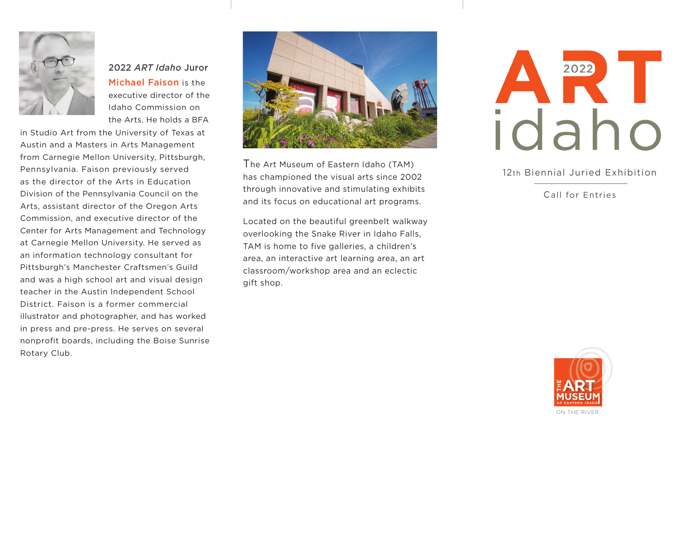

2022 *ART Idaho* Juror Michael Faison is the executive director of the Idaho Commission on the Arts. He holds a BFA

in Studio Art from the University of Texas at Austin and a Masters in Arts Management from Carnegie Mellon University, Pittsburgh, Pennsylvania. Faison previously served as the director of the Arts in Education Division of the Pennsylvania Council on the Arts, assistant director of the Oregon Arts Commission, and executive director of the Center for Arts Management and Technology at Carnegie Mellon University. He served as an information technology consultant for Pittsburgh's Manchester Craftsmen's Guild and was a high school art and visual design teacher in the Austin Independent School District. Faison is a former commercial illustrator and photographer, and has worked in press and pre-press. He serves on several nonprofit boards, including the Boise Sunrise Rotary Club.



The Art Museum of Eastern Idaho (TAM) has championed the visual arts since 2002 through innovative and stimulating exhibits and its focus on educational art programs.

Located on the beautiful greenbelt walkway overlooking the Snake River in Idaho Falls, TAM is home to five galleries, a children's area, an interactive art learning area, an art classroom/workshop area and an eclectic gift shop.



12th Biennial Juried Exhibition

Call for Entries



ON THE RIVER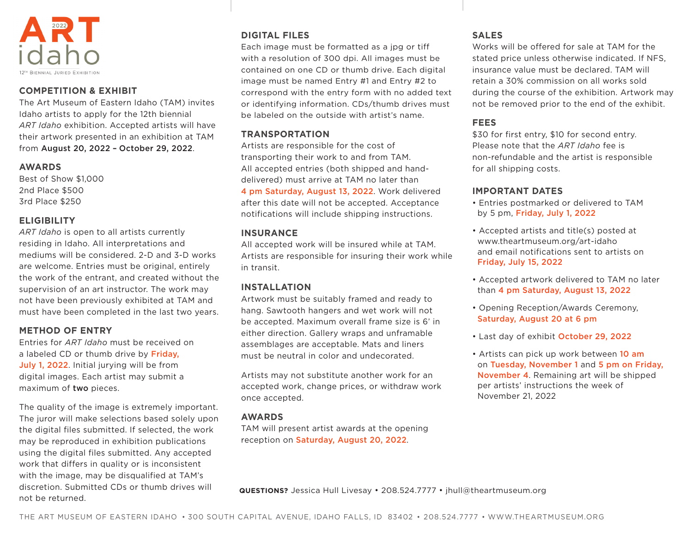

## **COMPETITION & EXHIBIT**

The Art Museum of Eastern Idaho (TAM) invites Idaho artists to apply for the 12th biennial *ART Idaho* exhibition. Accepted artists will have their artwork presented in an exhibition at TAM from August 20, 2022 – October 29, 2022.

#### **AWARDS**

Best of Show \$1,000 2nd Place \$500 3rd Place \$250

## **ELIGIBILITY**

*ART Idaho* is open to all artists currently residing in Idaho. All interpretations and mediums will be considered. 2-D and 3-D works are welcome. Entries must be original, entirely the work of the entrant, and created without the supervision of an art instructor. The work may not have been previously exhibited at TAM and must have been completed in the last two years.

## **METHOD OF ENTRY**

Entries for *ART Idaho* must be received on a labeled CD or thumb drive by Friday, July 1, 2022. Initial jurying will be from digital images. Each artist may submit a maximum of two pieces.

The quality of the image is extremely important. The juror will make selections based solely upon the digital files submitted. If selected, the work may be reproduced in exhibition publications using the digital files submitted. Any accepted work that differs in quality or is inconsistent with the image, may be disqualified at TAM's discretion. Submitted CDs or thumb drives will not be returned.

## **DIGITAL FILES**

Each image must be formatted as a jpg or tiff with a resolution of 300 dpi. All images must be contained on one CD or thumb drive. Each digital image must be named Entry #1 and Entry #2 to correspond with the entry form with no added text or identifying information. CDs/thumb drives must be labeled on the outside with artist's name.

## **TRANSPORTATION**

Artists are responsible for the cost of transporting their work to and from TAM. All accepted entries (both shipped and handdelivered) must arrive at TAM no later than 4 pm Saturday, August 13, 2022. Work delivered after this date will not be accepted. Acceptance notifications will include shipping instructions.

#### **INSURANCE**

All accepted work will be insured while at TAM. Artists are responsible for insuring their work while in transit.

## **INSTALLATION**

Artwork must be suitably framed and ready to hang. Sawtooth hangers and wet work will not be accepted. Maximum overall frame size is 6' in either direction. Gallery wraps and unframable assemblages are acceptable. Mats and liners must be neutral in color and undecorated.

Artists may not substitute another work for an accepted work, change prices, or withdraw work once accepted.

## **AWARDS**

TAM will present artist awards at the opening reception on Saturday, August 20, 2022.

## **SALES**

Works will be offered for sale at TAM for the stated price unless otherwise indicated. If NFS, insurance value must be declared. TAM will retain a 30% commission on all works sold during the course of the exhibition. Artwork may not be removed prior to the end of the exhibit.

## **FEES**

\$30 for first entry, \$10 for second entry. Please note that the *ART Idaho* fee is non-refundable and the artist is responsible for all shipping costs.

## **IMPORTANT DATES**

- Entries postmarked or delivered to TAM by 5 pm, Friday, July 1, 2022
- Accepted artists and title(s) posted at www.theartmuseum.org/art-idaho and email notifications sent to artists on Friday, July 15, 2022
- Accepted artwork delivered to TAM no later than 4 pm Saturday, August 13, 2022
- Opening Reception/Awards Ceremony, Saturday, August 20 at 6 pm
- Last day of exhibit October 29, 2022
- Artists can pick up work between 10 am on Tuesday, November 1 and 5 pm on Friday, November 4. Remaining art will be shipped per artists' instructions the week of November 21, 2022

**QUESTIONS?** Jessica Hull Livesay • 208.524.7777 • jhull@theartmuseum.org